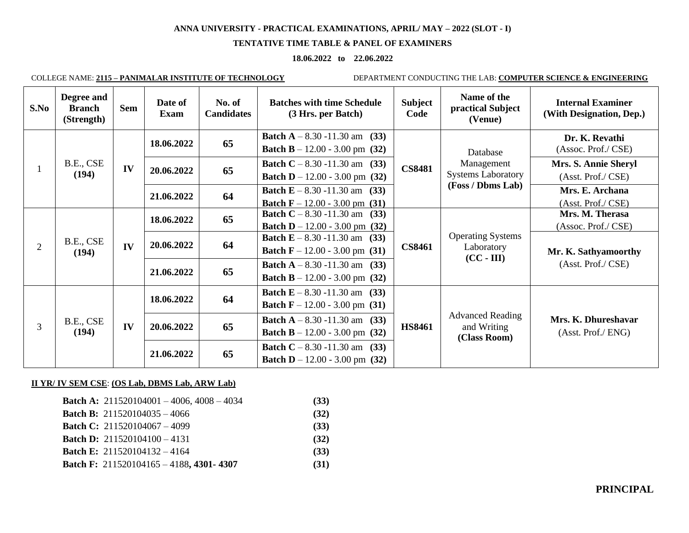#### **TENTATIVE TIME TABLE & PANEL OF EXAMINERS**

#### **18.06.2022 to 22.06.2022**

COLLEGE NAME: **2115 – PANIMALAR INSTITUTE OF TECHNOLOGY** DEPARTMENT CONDUCTING THE LAB: **COMPUTER SCIENCE & ENGINEERING**

| S.No           | Degree and<br><b>Branch</b><br>(Strength) | <b>Sem</b> | Date of<br>Exam | No. of<br><b>Candidates</b> | <b>Batches with time Schedule</b><br>(3 Hrs. per Batch)                               | <b>Subject</b><br>Code                                                          | Name of the<br>practical Subject<br>(Venue)                              | <b>Internal Examiner</b><br>(With Designation, Dep.)                          |            |    |                                                                                 |               |                                        |                      |
|----------------|-------------------------------------------|------------|-----------------|-----------------------------|---------------------------------------------------------------------------------------|---------------------------------------------------------------------------------|--------------------------------------------------------------------------|-------------------------------------------------------------------------------|------------|----|---------------------------------------------------------------------------------|---------------|----------------------------------------|----------------------|
|                | B.E., CSE<br>(194)                        | IV         | 18.06.2022      | 65                          | <b>Batch A</b> $- 8.30 - 11.30$ am<br>(33)<br><b>Batch B</b> – 12.00 - 3.00 pm (32)   |                                                                                 | Database<br>Management<br><b>Systems Laboratory</b><br>(Foss / Dbms Lab) | Dr. K. Revathi<br>(Assoc. Prof./ CSE)                                         |            |    |                                                                                 |               |                                        |                      |
|                |                                           |            | 20.06.2022      | 65                          | <b>Batch C</b> – 8.30 -11.30 am (33)<br><b>Batch D</b> – 12.00 - 3.00 pm (32)         | <b>CS8481</b>                                                                   |                                                                          | Mrs. S. Annie Sheryl<br>(Asst. Prof./ CSE)                                    |            |    |                                                                                 |               |                                        |                      |
|                |                                           |            | 21.06.2022      | 64                          | <b>Batch E</b> $- 8.30 - 11.30$ am<br>(33)<br><b>Batch F</b> $- 12.00 - 3.00$ pm (31) |                                                                                 |                                                                          | Mrs. E. Archana<br>(Asst. Prof./ CSE)                                         |            |    |                                                                                 |               |                                        |                      |
| $\overline{2}$ | B.E., CSE<br>(194)                        | IV         | 18.06.2022      | 65                          | <b>Batch C</b> $- 8.30 - 11.30$ am<br>(33)<br><b>Batch D</b> – 12.00 - 3.00 pm (32)   |                                                                                 |                                                                          | Mrs. M. Therasa<br>(Assoc. Prof./ CSE)                                        |            |    |                                                                                 |               |                                        |                      |
|                |                                           |            |                 |                             |                                                                                       |                                                                                 |                                                                          |                                                                               | 20.06.2022 | 64 | <b>Batch E</b> – 8.30 -11.30 am (33)<br><b>Batch F</b> $- 12.00 - 3.00$ pm (31) | <b>CS8461</b> | <b>Operating Systems</b><br>Laboratory | Mr. K. Sathyamoorthy |
|                |                                           |            |                 |                             |                                                                                       |                                                                                 |                                                                          |                                                                               |            |    |                                                                                 |               |                                        |                      |
| 3              | B.E., CSE<br>(194)                        |            |                 |                             |                                                                                       | 18.06.2022                                                                      | 64                                                                       | <b>Batch E</b> – 8.30 -11.30 am (33)<br><b>Batch F</b> – 12.00 - 3.00 pm (31) |            |    |                                                                                 |               |                                        |                      |
|                |                                           | IV         | 20.06.2022      | 65                          | <b>Batch A</b> $- 8.30 - 11.30$ am (33)<br><b>Batch B</b> $- 12.00 - 3.00$ pm (32)    | <b>Advanced Reading</b><br><b>HS8461</b><br>and Writing<br>(Class Room)         | Mrs. K. Dhureshavar<br>(Asst. Prof./ ENG)                                |                                                                               |            |    |                                                                                 |               |                                        |                      |
|                |                                           |            |                 | 21.06.2022                  | 65                                                                                    | <b>Batch C</b> – 8.30 -11.30 am (33)<br><b>Batch D</b> – 12.00 - 3.00 pm $(32)$ |                                                                          |                                                                               |            |    |                                                                                 |               |                                        |                      |

#### **II YR/ IV SEM CSE**: **(OS Lab, DBMS Lab, ARW Lab)**

| <b>Batch A:</b> $211520104001 - 4006$ , $4008 - 4034$ | (33) |
|-------------------------------------------------------|------|
| <b>Batch B:</b> $211520104035 - 4066$                 | (32) |
| <b>Batch C:</b> $211520104067 - 4099$                 | (33) |
| <b>Batch D:</b> $211520104100 - 4131$                 | (32) |
| <b>Batch E:</b> $211520104132 - 4164$                 | (33) |
| <b>Batch F:</b> $211520104165 - 4188$ , 4301-4307     | (31) |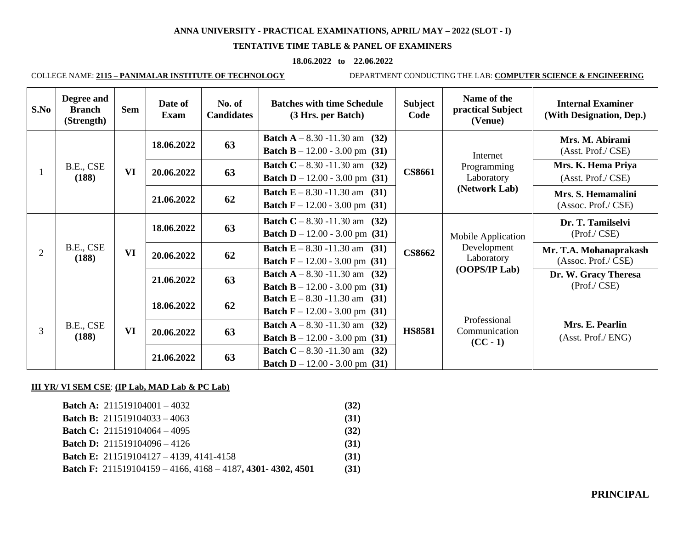## **TENTATIVE TIME TABLE & PANEL OF EXAMINERS**

#### **18.06.2022 to 22.06.2022**

COLLEGE NAME: **2115 – PANIMALAR INSTITUTE OF TECHNOLOGY** DEPARTMENT CONDUCTING THE LAB: **COMPUTER SCIENCE & ENGINEERING**

| S.No           | Degree and<br><b>Branch</b><br>(Strength) | <b>Sem</b> | Date of<br><b>Exam</b> | No. of<br><b>Candidates</b> | <b>Batches with time Schedule</b><br>(3 Hrs. per Batch)                               | <b>Subject</b><br>Code                                                           | Name of the<br>practical Subject<br>(Venue)            | <b>Internal Examiner</b><br>(With Designation, Dep.) |  |  |  |  |  |            |    |                                                                                       |  |
|----------------|-------------------------------------------|------------|------------------------|-----------------------------|---------------------------------------------------------------------------------------|----------------------------------------------------------------------------------|--------------------------------------------------------|------------------------------------------------------|--|--|--|--|--|------------|----|---------------------------------------------------------------------------------------|--|
|                | B.E., CSE<br>(188)                        | <b>VI</b>  | 18.06.2022             | 63                          | <b>Batch A</b> – 8.30 -11.30 am (32)<br><b>Batch B</b> $- 12.00 - 3.00$ pm (31)       | <b>CS8661</b>                                                                    | Internet<br>Programming<br>Laboratory<br>(Network Lab) | Mrs. M. Abirami<br>(Asst. Prof./ CSE)                |  |  |  |  |  |            |    |                                                                                       |  |
| -1             |                                           |            | 20.06.2022             | 63                          | <b>Batch C</b> $- 8.30 - 11.30$ am<br>(32)<br><b>Batch D</b> – 12.00 - 3.00 pm (31)   |                                                                                  |                                                        | Mrs. K. Hema Priya<br>(Asst. Prof./ CSE)             |  |  |  |  |  |            |    |                                                                                       |  |
|                |                                           |            | 21.06.2022             | 62                          | <b>Batch E</b> $- 8.30 - 11.30$ am<br>(31)<br><b>Batch F</b> – 12.00 - 3.00 pm (31)   |                                                                                  |                                                        | Mrs. S. Hemamalini<br>(Assoc. Prof./ CSE)            |  |  |  |  |  |            |    |                                                                                       |  |
|                | B.E., CSE<br>(188)                        | <b>VI</b>  | 18.06.2022             | 63                          | <b>Batch C</b> – 8.30 -11.30 am (32)<br><b>Batch D</b> – 12.00 - 3.00 pm (31)         |                                                                                  | Mobile Application<br>Development<br>Laboratory        | Dr. T. Tamilselvi<br>(Prof./ CSE)                    |  |  |  |  |  |            |    |                                                                                       |  |
| $\overline{2}$ |                                           |            | 20.06.2022             | 62                          | <b>Batch E</b> $- 8.30 - 11.30$ am<br>(31)<br><b>Batch F</b> $- 12.00 - 3.00$ pm (31) | <b>CS8662</b>                                                                    |                                                        | Mr. T.A. Mohanaprakash<br>(Assoc. Prof./ CSE)        |  |  |  |  |  |            |    |                                                                                       |  |
|                |                                           |            |                        |                             |                                                                                       |                                                                                  |                                                        |                                                      |  |  |  |  |  | 21.06.2022 | 63 | <b>Batch A</b> $- 8.30 - 11.30$ am<br>(32)<br><b>Batch B</b> $- 12.00 - 3.00$ pm (31) |  |
|                |                                           |            | 18.06.2022             | 62                          | <b>Batch E</b> $- 8.30 - 11.30$ am<br>(31)<br><b>Batch F</b> $- 12.00 - 3.00$ pm (31) |                                                                                  | Professional<br>Communication<br>$(CC-1)$              |                                                      |  |  |  |  |  |            |    |                                                                                       |  |
| 3              | B.E., CSE<br>(188)                        | <b>VI</b>  | 20.06.2022             | 63                          | <b>Batch A</b> $- 8.30 - 11.30$ am<br>(32)<br><b>Batch B</b> $- 12.00 - 3.00$ pm (31) | <b>HS8581</b>                                                                    |                                                        | Mrs. E. Pearlin<br>(Asst. Prof./ ENG)                |  |  |  |  |  |            |    |                                                                                       |  |
|                |                                           |            |                        | 21.06.2022                  | 63                                                                                    | <b>Batch C</b> – 8.30 -11.30 am<br>(32)<br><b>Batch D</b> – 12.00 - 3.00 pm (31) |                                                        |                                                      |  |  |  |  |  |            |    |                                                                                       |  |

## **III YR/ VI SEM CSE**: **(IP Lab, MAD Lab & PC Lab)**

| <b>Batch A:</b> $211519104001 - 4032$                                   | (32) |
|-------------------------------------------------------------------------|------|
| <b>Batch B:</b> 211519104033 - 4063                                     | (31) |
| <b>Batch C:</b> 211519104064 - 4095                                     | (32) |
| <b>Batch D:</b> 211519104096 - 4126                                     | (31) |
| <b>Batch E:</b> 211519104127 - 4139, 4141-4158                          | (31) |
| Batch F: $211519104159 - 4166$ , $4168 - 4187$ , $4301 - 4302$ , $4501$ | (31) |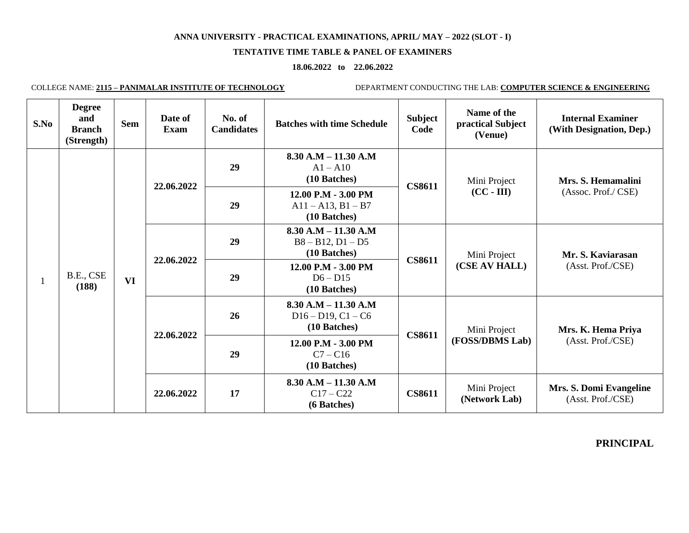#### **TENTATIVE TIME TABLE & PANEL OF EXAMINERS**

## **18.06.2022 to 22.06.2022**

COLLEGE NAME: **2115 – PANIMALAR INSTITUTE OF TECHNOLOGY** DEPARTMENT CONDUCTING THE LAB: **COMPUTER SCIENCE & ENGINEERING**

| S.No | <b>Degree</b><br>and<br><b>Branch</b><br>(Strength) | <b>Sem</b> | Date of<br><b>Exam</b> | No. of<br><b>Candidates</b> | <b>Batches with time Schedule</b>                               | <b>Subject</b><br>Code | Name of the<br>practical Subject<br>(Venue) | <b>Internal Examiner</b><br>(With Designation, Dep.)                              |                                                        |
|------|-----------------------------------------------------|------------|------------------------|-----------------------------|-----------------------------------------------------------------|------------------------|---------------------------------------------|-----------------------------------------------------------------------------------|--------------------------------------------------------|
|      | B.E., CSE<br>(188)                                  | <b>VI</b>  | 22.06.2022             | 29                          | $8.30 A.M - 11.30 A.M$<br>$A1 - A10$<br>(10 Batches)            | <b>CS8611</b>          | Mini Project<br>$(CC - III)$                | Mrs. S. Hemamalini<br>(Assoc. Prof./ CSE)                                         |                                                        |
|      |                                                     |            |                        | 29                          | 12.00 P.M - 3.00 PM<br>$A11 - A13$ , $B1 - B7$<br>(10 Batches)  |                        |                                             |                                                                                   |                                                        |
|      |                                                     |            | 22.06.2022             | 29                          | $8.30$ A.M $- 11.30$ A.M<br>$B8 - B12, D1 - D5$<br>(10 Batches) | <b>CS8611</b>          | Mini Project<br>(CSE AV HALL)               | Mr. S. Kaviarasan<br>(Asst. Prof./CSE)<br>Mrs. K. Hema Priya<br>(Asst. Prof./CSE) |                                                        |
|      |                                                     |            |                        | 29                          | 12.00 P.M - 3.00 PM<br>$D6 - D15$<br>(10 Batches)               |                        |                                             |                                                                                   |                                                        |
|      |                                                     |            | 22.06.2022             | 26                          | $8.30 A.M - 11.30 A.M$<br>$D16 - D19, C1 - C6$<br>(10 Batches)  | <b>CS8611</b>          | Mini Project                                |                                                                                   |                                                        |
|      |                                                     |            |                        | 29                          | 12.00 P.M - 3.00 PM<br>$C7 - C16$<br>(10 Batches)               |                        | (FOSS/DBMS Lab)                             |                                                                                   |                                                        |
|      |                                                     |            |                        |                             |                                                                 |                        | 22.06.2022                                  | 17                                                                                | $8.30$ A.M $- 11.30$ A.M<br>$C17 - C22$<br>(6 Batches) |

**PRINCIPAL**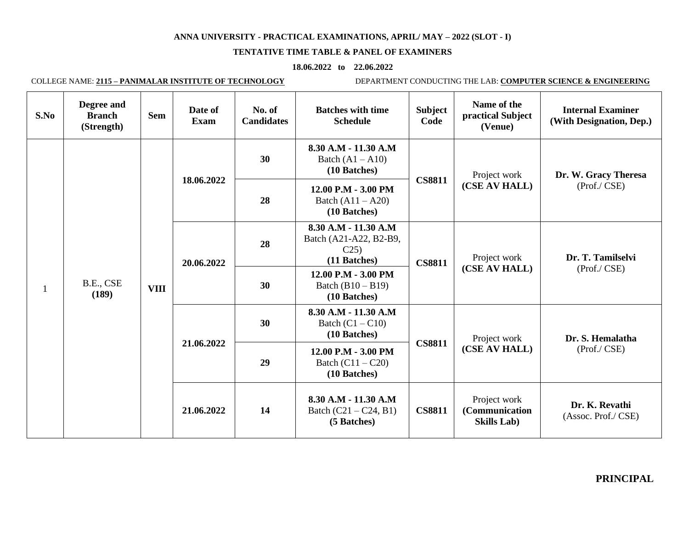#### **TENTATIVE TIME TABLE & PANEL OF EXAMINERS**

## **18.06.2022 to 22.06.2022**

COLLEGE NAME: **2115 – PANIMALAR INSTITUTE OF TECHNOLOGY** DEPARTMENT CONDUCTING THE LAB: **COMPUTER SCIENCE & ENGINEERING**

| S.No | Degree and<br><b>Branch</b><br>(Strength) | <b>Sem</b>  | Date of<br><b>Exam</b> | No. of<br><b>Candidates</b>                                      | <b>Batches with time</b><br><b>Schedule</b>                           | <b>Subject</b><br>Code | Name of the<br>practical Subject<br>(Venue)           | <b>Internal Examiner</b><br>(With Designation, Dep.) |
|------|-------------------------------------------|-------------|------------------------|------------------------------------------------------------------|-----------------------------------------------------------------------|------------------------|-------------------------------------------------------|------------------------------------------------------|
|      | B.E., CSE<br>(189)                        |             |                        | 30                                                               | 8.30 A.M - 11.30 A.M<br>Batch $(A1 - A10)$<br>(10 Batches)            | <b>CS8811</b>          | Project work<br>(CSE AV HALL)                         | Dr. W. Gracy Theresa<br>(Prof./ CSE)                 |
| 1    |                                           | <b>VIII</b> | 18.06.2022             | 28                                                               | 12.00 P.M - 3.00 PM<br>Batch $(A11 - A20)$<br>(10 Batches)            |                        |                                                       |                                                      |
|      |                                           |             | 20.06.2022             | 28                                                               | 8.30 A.M - 11.30 A.M<br>Batch (A21-A22, B2-B9,<br>C25<br>(11 Batches) | <b>CS8811</b>          | Project work<br>(CSE AV HALL)                         | Dr. T. Tamilselvi<br>(Prof./ CSE)                    |
|      |                                           |             |                        | 30                                                               | 12.00 P.M - 3.00 PM<br>Batch $(B10 - B19)$<br>(10 Batches)            |                        |                                                       |                                                      |
|      |                                           |             | 21.06.2022             | 8.30 A.M - 11.30 A.M<br>30<br>Batch $(C1 - C10)$<br>(10 Batches) | <b>CS8811</b>                                                         | Project work           | Dr. S. Hemalatha                                      |                                                      |
|      |                                           |             |                        | 29                                                               | 12.00 P.M - 3.00 PM<br>Batch $(C11 - C20)$<br>(10 Batches)            |                        | (CSE AV HALL)                                         | (Prof./ CSE)                                         |
|      |                                           |             | 21.06.2022             | 14                                                               | 8.30 A.M - 11.30 A.M<br>Batch $(C21 - C24, B1)$<br>(5 Batches)        | <b>CS8811</b>          | Project work<br>(Communication<br><b>Skills Lab</b> ) | Dr. K. Revathi<br>(Assoc. Prof./ CSE)                |